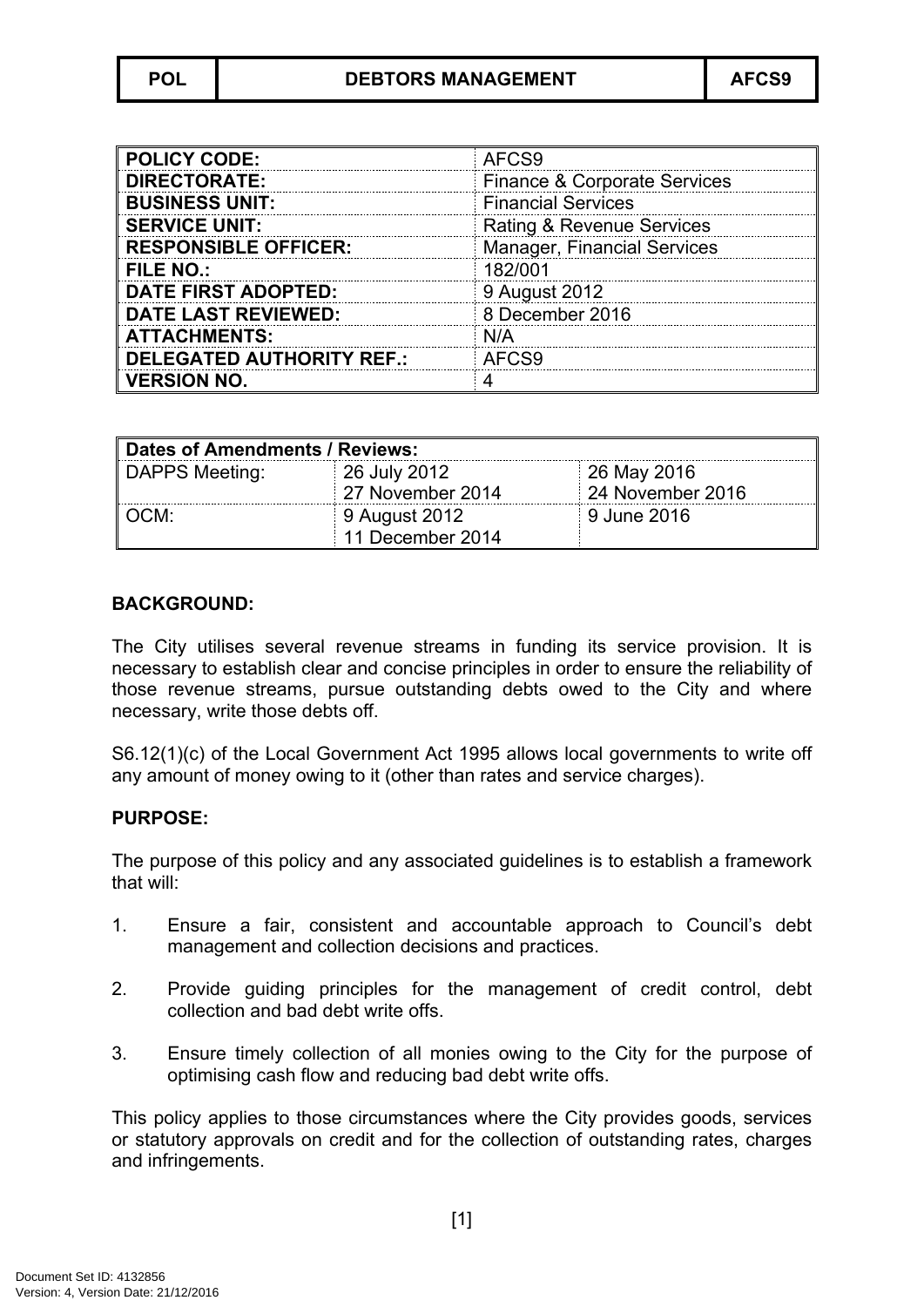| <b>POLICY CODE:</b>              | AFCS9                                   |
|----------------------------------|-----------------------------------------|
| <b>DIRECTORATE:</b>              | <b>Finance &amp; Corporate Services</b> |
| <b>BUSINESS UNIT:</b>            | <b>Financial Services</b>               |
| <b>SERVICE UNIT:</b>             | <b>Rating &amp; Revenue Services</b>    |
| <b>RESPONSIBLE OFFICER:</b>      | <b>Manager, Financial Services</b>      |
| <b>FILE NO.:</b>                 | 182/001                                 |
| <b>DATE FIRST ADOPTED:</b>       | 9 August 2012                           |
| <b>DATE LAST REVIEWED:</b>       | 8 December 2016                         |
| <b>ATTACHMENTS:</b>              | N/A                                     |
| <b>DELEGATED AUTHORITY REF.:</b> | AFCS9                                   |
| <b>VERSION NO.</b>               |                                         |

| Dates of Amendments / Reviews: |                  |                  |
|--------------------------------|------------------|------------------|
| DAPPS Meeting:                 | 26 July 2012     | 26 May 2016      |
|                                | 27 November 2014 | 24 November 2016 |
| ∣ OCM:                         | 9 August 2012    | 9 June 2016      |
|                                | 11 December 2014 |                  |

### **BACKGROUND:**

The City utilises several revenue streams in funding its service provision. It is necessary to establish clear and concise principles in order to ensure the reliability of those revenue streams, pursue outstanding debts owed to the City and where necessary, write those debts off.

S6.12(1)(c) of the Local Government Act 1995 allows local governments to write off any amount of money owing to it (other than rates and service charges).

### **PURPOSE:**

The purpose of this policy and any associated guidelines is to establish a framework that will:

- 1. Ensure a fair, consistent and accountable approach to Council's debt management and collection decisions and practices.
- 2. Provide guiding principles for the management of credit control, debt collection and bad debt write offs.
- 3. Ensure timely collection of all monies owing to the City for the purpose of optimising cash flow and reducing bad debt write offs.

This policy applies to those circumstances where the City provides goods, services or statutory approvals on credit and for the collection of outstanding rates, charges and infringements.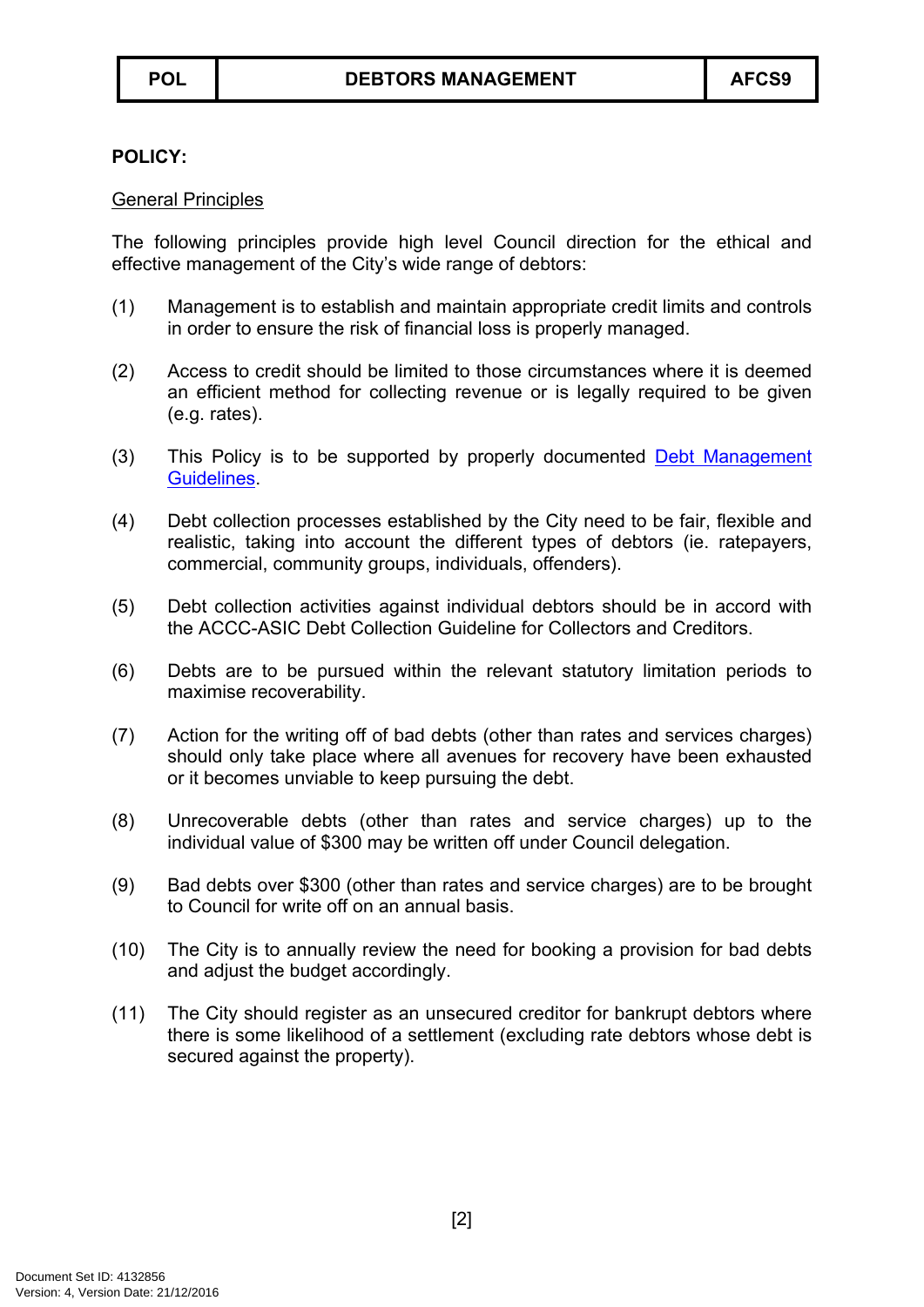### **POLICY:**

### General Principles

The following principles provide high level Council direction for the ethical and effective management of the City's wide range of debtors:

- (1) Management is to establish and maintain appropriate credit limits and controls in order to ensure the risk of financial loss is properly managed.
- (2) Access to credit should be limited to those circumstances where it is deemed an efficient method for collecting revenue or is legally required to be given (e.g. rates).
- (3) This Policy is to be supported by properly documented Debt [Management](#page-4-0) [Guidelines.](#page-4-0)
- (4) Debt collection processes established by the City need to be fair, flexible and realistic, taking into account the different types of debtors (ie. ratepayers, commercial, community groups, individuals, offenders).
- (5) Debt collection activities against individual debtors should be in accord with the ACCC-ASIC Debt Collection Guideline for Collectors and Creditors.
- (6) Debts are to be pursued within the relevant statutory limitation periods to maximise recoverability.
- (7) Action for the writing off of bad debts (other than rates and services charges) should only take place where all avenues for recovery have been exhausted or it becomes unviable to keep pursuing the debt.
- (8) Unrecoverable debts (other than rates and service charges) up to the individual value of \$300 may be written off under Council delegation.
- (9) Bad debts over \$300 (other than rates and service charges) are to be brought to Council for write off on an annual basis.
- (10) The City is to annually review the need for booking a provision for bad debts and adjust the budget accordingly.
- (11) The City should register as an unsecured creditor for bankrupt debtors where there is some likelihood of a settlement (excluding rate debtors whose debt is secured against the property).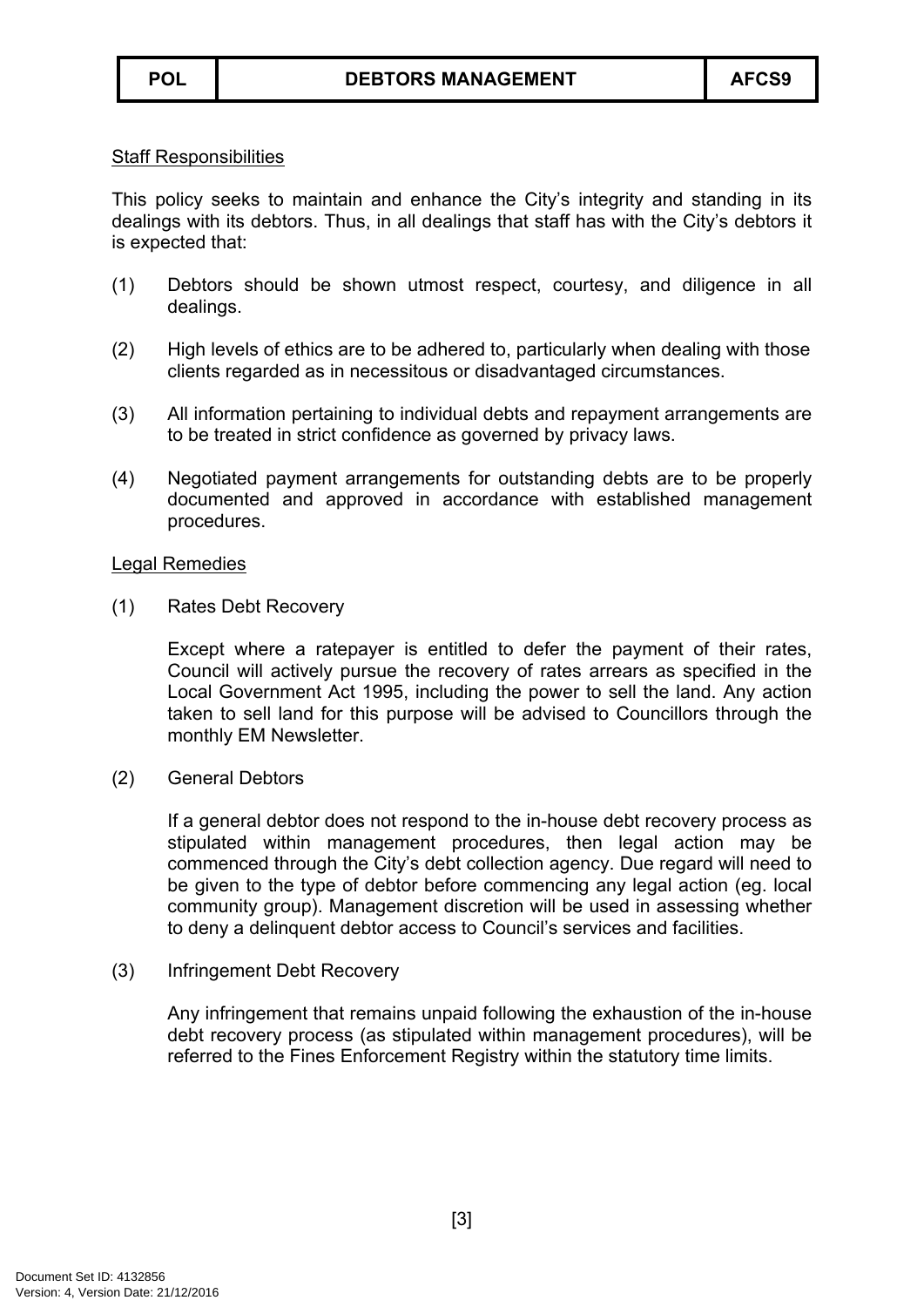#### Staff Responsibilities

This policy seeks to maintain and enhance the City's integrity and standing in its dealings with its debtors. Thus, in all dealings that staff has with the City's debtors it is expected that:

- (1) Debtors should be shown utmost respect, courtesy, and diligence in all dealings.
- (2) High levels of ethics are to be adhered to, particularly when dealing with those clients regarded as in necessitous or disadvantaged circumstances.
- (3) All information pertaining to individual debts and repayment arrangements are to be treated in strict confidence as governed by privacy laws.
- (4) Negotiated payment arrangements for outstanding debts are to be properly documented and approved in accordance with established management procedures.

#### Legal Remedies

(1) Rates Debt Recovery

Except where a ratepayer is entitled to defer the payment of their rates, Council will actively pursue the recovery of rates arrears as specified in the Local Government Act 1995, including the power to sell the land. Any action taken to sell land for this purpose will be advised to Councillors through the monthly EM Newsletter.

(2) General Debtors

If a general debtor does not respond to the in-house debt recovery process as stipulated within management procedures, then legal action may be commenced through the City's debt collection agency. Due regard will need to be given to the type of debtor before commencing any legal action (eg. local community group). Management discretion will be used in assessing whether to deny a delinquent debtor access to Council's services and facilities.

### (3) Infringement Debt Recovery

Any infringement that remains unpaid following the exhaustion of the in-house debt recovery process (as stipulated within management procedures), will be referred to the Fines Enforcement Registry within the statutory time limits.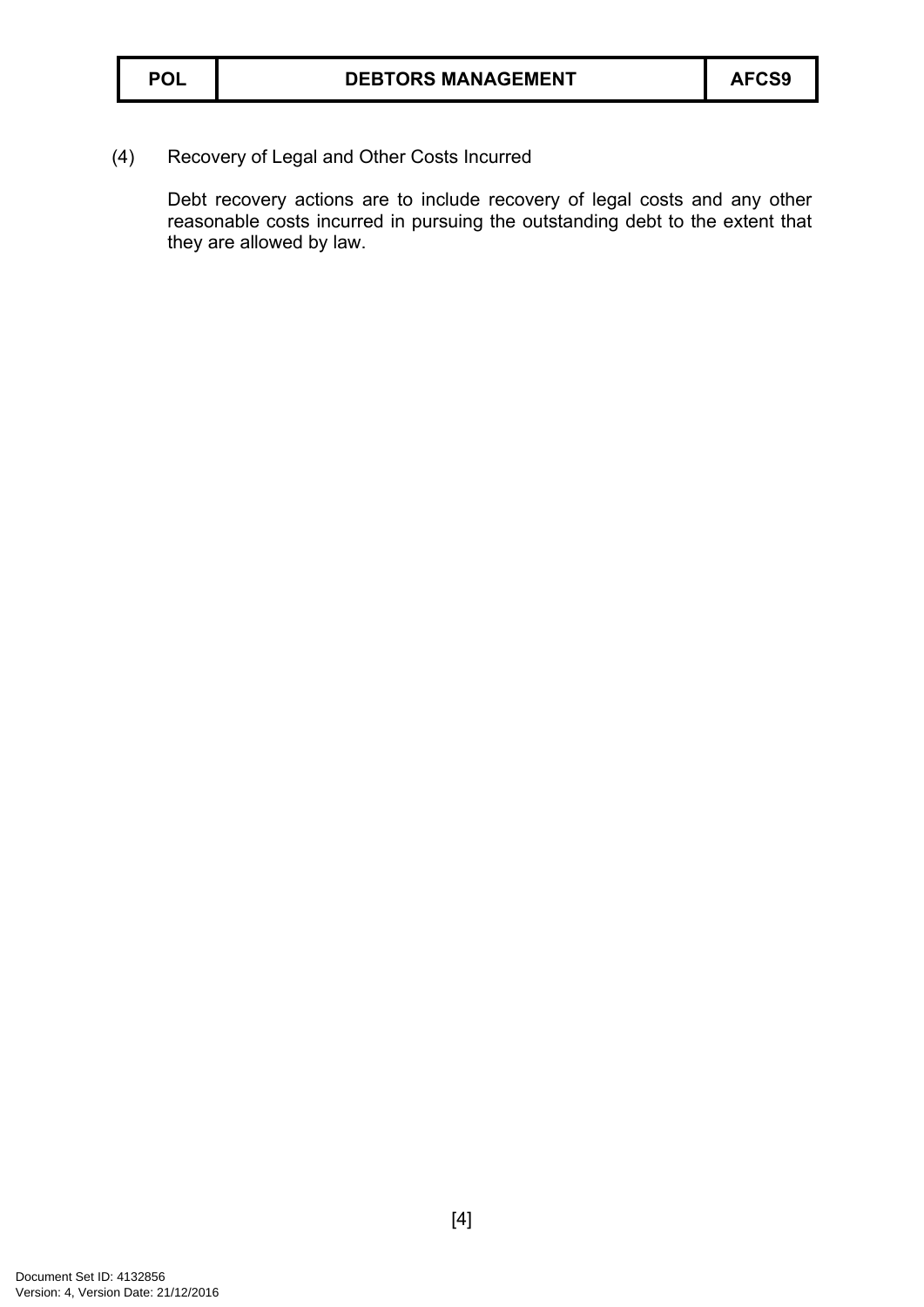(4) Recovery of Legal and Other Costs Incurred

Debt recovery actions are to include recovery of legal costs and any other reasonable costs incurred in pursuing the outstanding debt to the extent that they are allowed by law.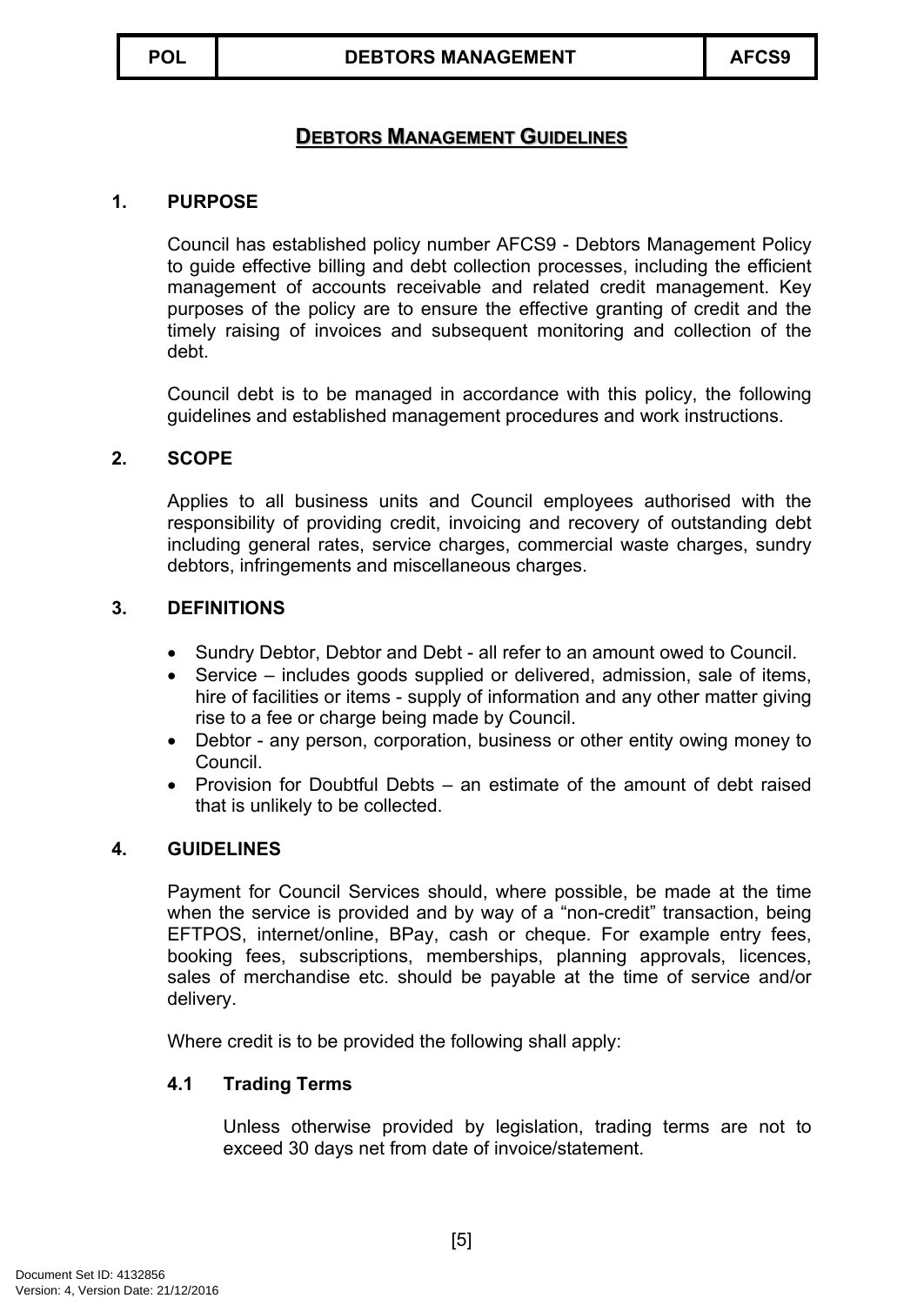# <span id="page-4-0"></span>**DEBTORS MANAGEMENT GUIDELINES**

#### **1. PURPOSE**

Council has established policy number AFCS9 - Debtors Management Policy to guide effective billing and debt collection processes, including the efficient management of accounts receivable and related credit management. Key purposes of the policy are to ensure the effective granting of credit and the timely raising of invoices and subsequent monitoring and collection of the debt.

Council debt is to be managed in accordance with this policy, the following guidelines and established management procedures and work instructions.

#### **2. SCOPE**

Applies to all business units and Council employees authorised with the responsibility of providing credit, invoicing and recovery of outstanding debt including general rates, service charges, commercial waste charges, sundry debtors, infringements and miscellaneous charges.

#### **3. DEFINITIONS**

- Sundry Debtor, Debtor and Debt all refer to an amount owed to Council.
- Service includes goods supplied or delivered, admission, sale of items, hire of facilities or items - supply of information and any other matter giving rise to a fee or charge being made by Council.
- Debtor any person, corporation, business or other entity owing money to Council.
- Provision for Doubtful Debts an estimate of the amount of debt raised that is unlikely to be collected.

#### **4. GUIDELINES**

Payment for Council Services should, where possible, be made at the time when the service is provided and by way of a "non-credit" transaction, being EFTPOS, internet/online, BPay, cash or cheque. For example entry fees, booking fees, subscriptions, memberships, planning approvals, licences, sales of merchandise etc. should be payable at the time of service and/or delivery.

Where credit is to be provided the following shall apply:

### **4.1 Trading Terms**

Unless otherwise provided by legislation, trading terms are not to exceed 30 days net from date of invoice/statement.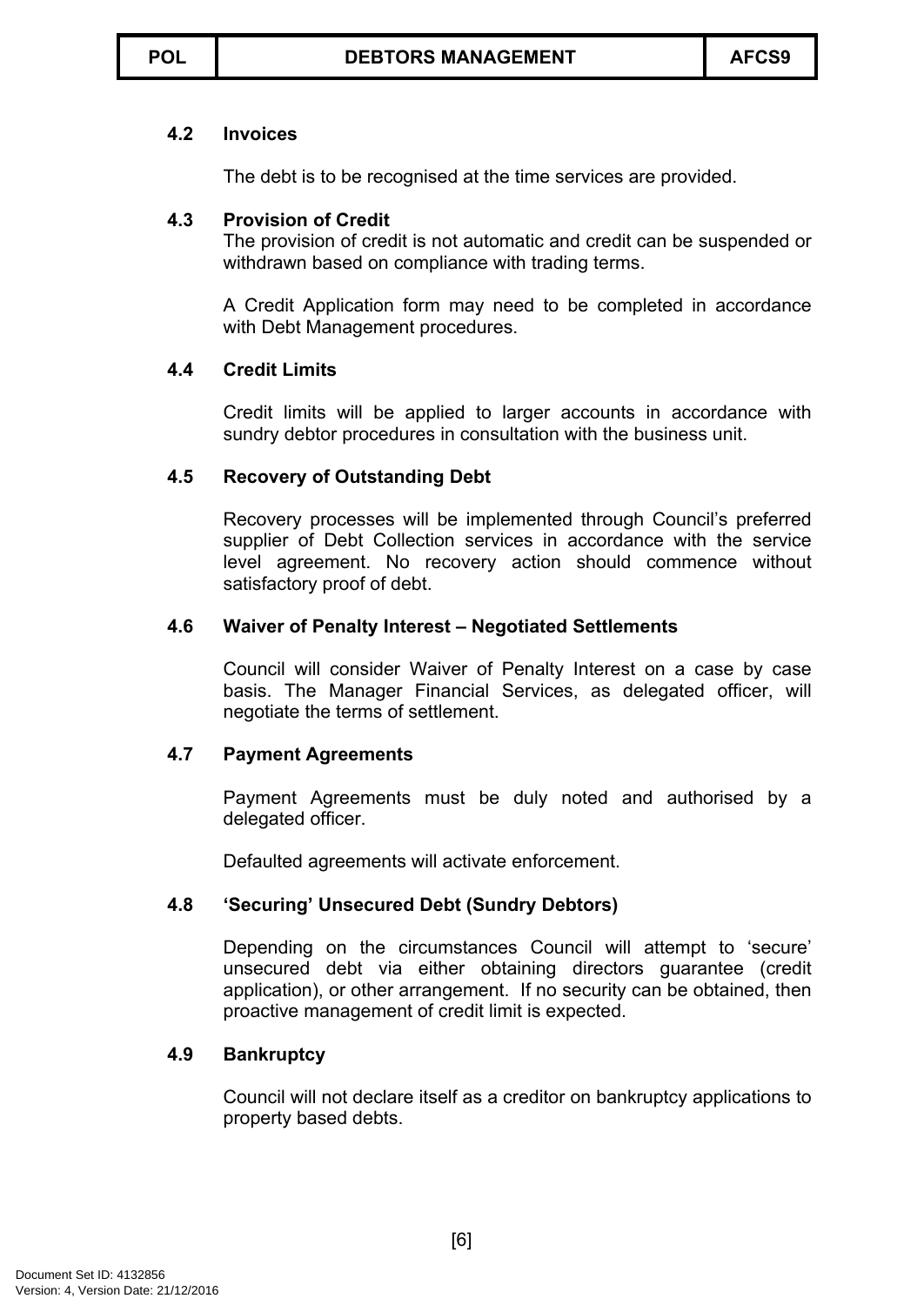# **4.2 Invoices**

The debt is to be recognised at the time services are provided.

# **4.3 Provision of Credit**

The provision of credit is not automatic and credit can be suspended or withdrawn based on compliance with trading terms.

A Credit Application form may need to be completed in accordance with Debt Management procedures.

# **4.4 Credit Limits**

Credit limits will be applied to larger accounts in accordance with sundry debtor procedures in consultation with the business unit.

# **4.5 Recovery of Outstanding Debt**

Recovery processes will be implemented through Council's preferred supplier of Debt Collection services in accordance with the service level agreement. No recovery action should commence without satisfactory proof of debt.

# **4.6 Waiver of Penalty Interest – Negotiated Settlements**

Council will consider Waiver of Penalty Interest on a case by case basis. The Manager Financial Services, as delegated officer, will negotiate the terms of settlement.

# **4.7 Payment Agreements**

Payment Agreements must be duly noted and authorised by a delegated officer.

Defaulted agreements will activate enforcement.

### **4.8 'Securing' Unsecured Debt (Sundry Debtors)**

Depending on the circumstances Council will attempt to 'secure' unsecured debt via either obtaining directors guarantee (credit application), or other arrangement. If no security can be obtained, then proactive management of credit limit is expected.

# **4.9 Bankruptcy**

Council will not declare itself as a creditor on bankruptcy applications to property based debts.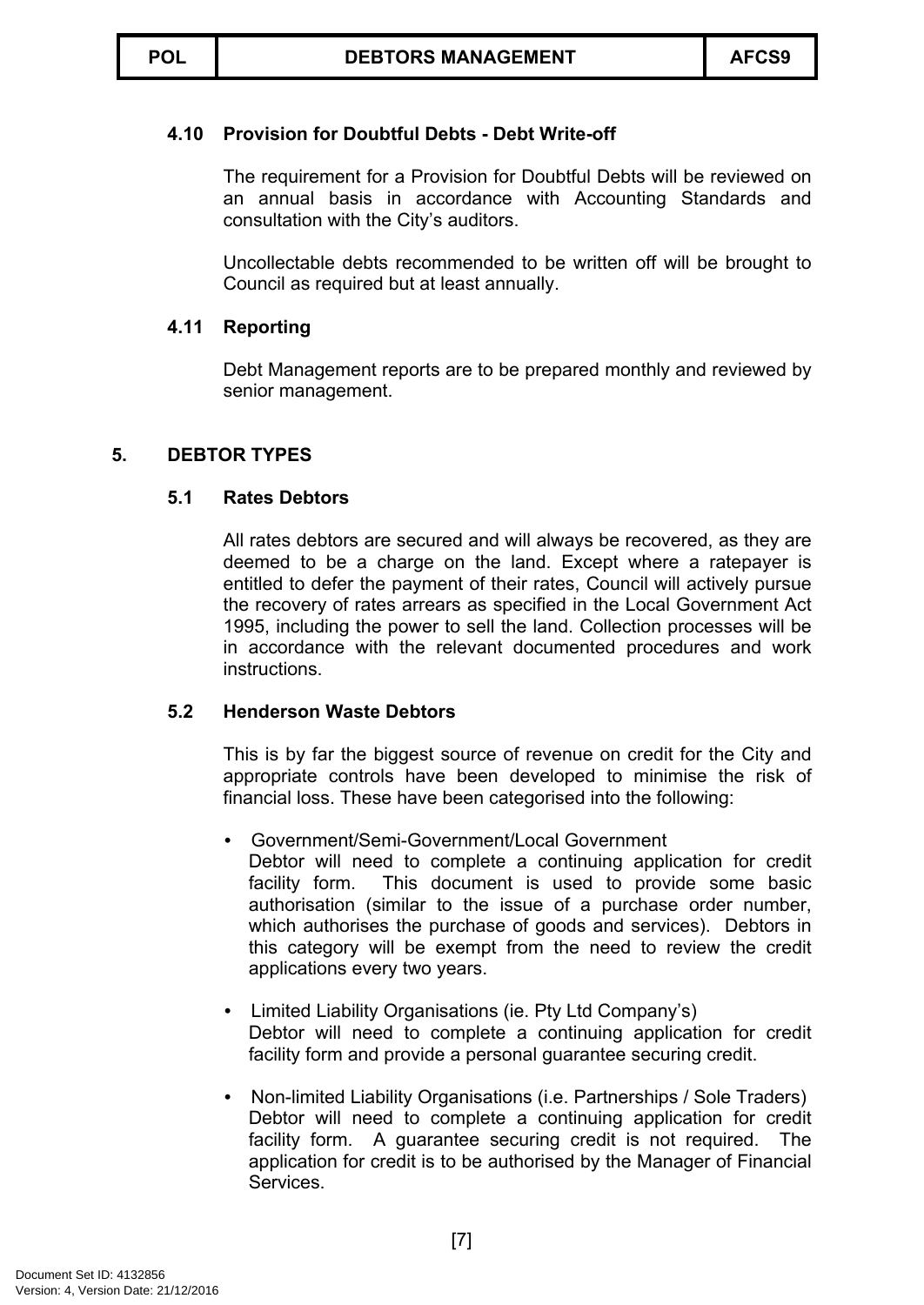# **4.10 Provision for Doubtful Debts - Debt Write-off**

The requirement for a Provision for Doubtful Debts will be reviewed on an annual basis in accordance with Accounting Standards and consultation with the City's auditors.

Uncollectable debts recommended to be written off will be brought to Council as required but at least annually.

### **4.11 Reporting**

Debt Management reports are to be prepared monthly and reviewed by senior management.

### **5. DEBTOR TYPES**

### **5.1 Rates Debtors**

All rates debtors are secured and will always be recovered, as they are deemed to be a charge on the land. Except where a ratepayer is entitled to defer the payment of their rates, Council will actively pursue the recovery of rates arrears as specified in the Local Government Act 1995, including the power to sell the land. Collection processes will be in accordance with the relevant documented procedures and work instructions.

### **5.2 Henderson Waste Debtors**

This is by far the biggest source of revenue on credit for the City and appropriate controls have been developed to minimise the risk of financial loss. These have been categorised into the following:

- Government/Semi-Government/Local Government Debtor will need to complete a continuing application for credit facility form. This document is used to provide some basic authorisation (similar to the issue of a purchase order number, which authorises the purchase of goods and services). Debtors in this category will be exempt from the need to review the credit applications every two years.
- Limited Liability Organisations (ie. Pty Ltd Company's) Debtor will need to complete a continuing application for credit facility form and provide a personal guarantee securing credit.
- Non-limited Liability Organisations (i.e. Partnerships / Sole Traders) Debtor will need to complete a continuing application for credit facility form. A guarantee securing credit is not required. The application for credit is to be authorised by the Manager of Financial Services.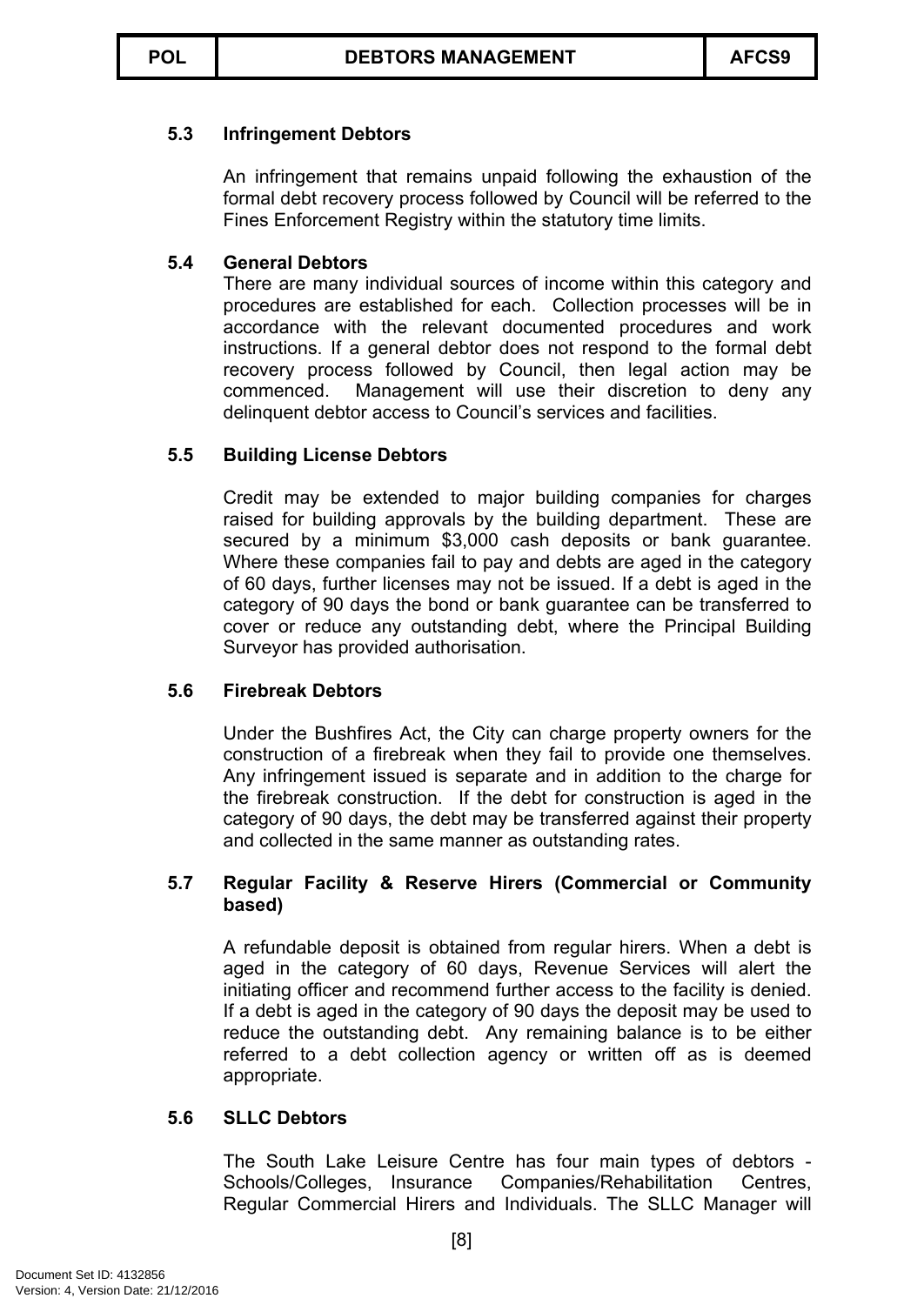# **5.3 Infringement Debtors**

An infringement that remains unpaid following the exhaustion of the formal debt recovery process followed by Council will be referred to the Fines Enforcement Registry within the statutory time limits.

# **5.4 General Debtors**

There are many individual sources of income within this category and procedures are established for each. Collection processes will be in accordance with the relevant documented procedures and work instructions. If a general debtor does not respond to the formal debt recovery process followed by Council, then legal action may be commenced. Management will use their discretion to deny any delinquent debtor access to Council's services and facilities.

# **5.5 Building License Debtors**

Credit may be extended to major building companies for charges raised for building approvals by the building department. These are secured by a minimum \$3,000 cash deposits or bank guarantee. Where these companies fail to pay and debts are aged in the category of 60 days, further licenses may not be issued. If a debt is aged in the category of 90 days the bond or bank guarantee can be transferred to cover or reduce any outstanding debt, where the Principal Building Surveyor has provided authorisation.

# **5.6 Firebreak Debtors**

Under the Bushfires Act, the City can charge property owners for the construction of a firebreak when they fail to provide one themselves. Any infringement issued is separate and in addition to the charge for the firebreak construction. If the debt for construction is aged in the category of 90 days, the debt may be transferred against their property and collected in the same manner as outstanding rates.

### **5.7 Regular Facility & Reserve Hirers (Commercial or Community based)**

A refundable deposit is obtained from regular hirers. When a debt is aged in the category of 60 days, Revenue Services will alert the initiating officer and recommend further access to the facility is denied. If a debt is aged in the category of 90 days the deposit may be used to reduce the outstanding debt. Any remaining balance is to be either referred to a debt collection agency or written off as is deemed appropriate.

### **5.6 SLLC Debtors**

The South Lake Leisure Centre has four main types of debtors - Schools/Colleges, Insurance Companies/Rehabilitation Centres, Regular Commercial Hirers and Individuals. The SLLC Manager will